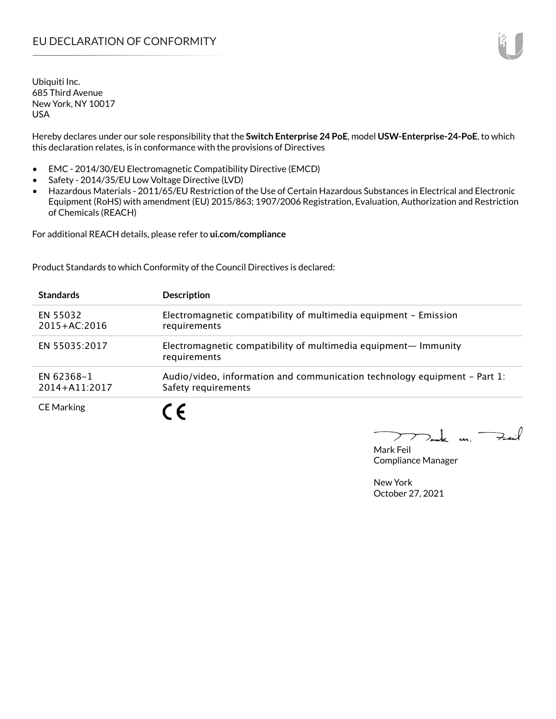Ubiquiti Inc. 685 Third Avenue New York, NY 10017 USA

Hereby declares under our sole responsibility that the **Switch Enterprise 24 PoE**, model **USW-Enterprise-24-PoE**, to which this declaration relates, is in conformance with the provisions of Directives

- EMC 2014/30/EU Electromagnetic Compatibility Directive (EMCD)
- Safety 2014/35/EU Low Voltage Directive (LVD)
- Hazardous Materials 2011/65/EU Restriction of the Use of Certain Hazardous Substances in Electrical and Electronic Equipment (RoHS) with amendment (EU) 2015/863; 1907/2006 Registration, Evaluation, Authorization and Restriction of Chemicals (REACH)

For additional REACH details, please refer to **ui.com/compliance**

Product Standards to which Conformity of the Council Directives is declared:

| <b>Standards</b>                | <b>Description</b>                                                                                 |
|---------------------------------|----------------------------------------------------------------------------------------------------|
| EN 55032<br>$2015 + AC:2016$    | Electromagnetic compatibility of multimedia equipment - Emission<br>requirements                   |
| EN 55035:2017                   | Electromagnetic compatibility of multimedia equipment- Immunity<br>requirements                    |
| EN 62368-1<br>$2014 + A11:2017$ | Audio/video, information and communication technology equipment $-$ Part 1:<br>Safety requirements |
| <b>CE Marking</b>               |                                                                                                    |

Tak m. Fail  $\geq$ 

Mark Feil Compliance Manager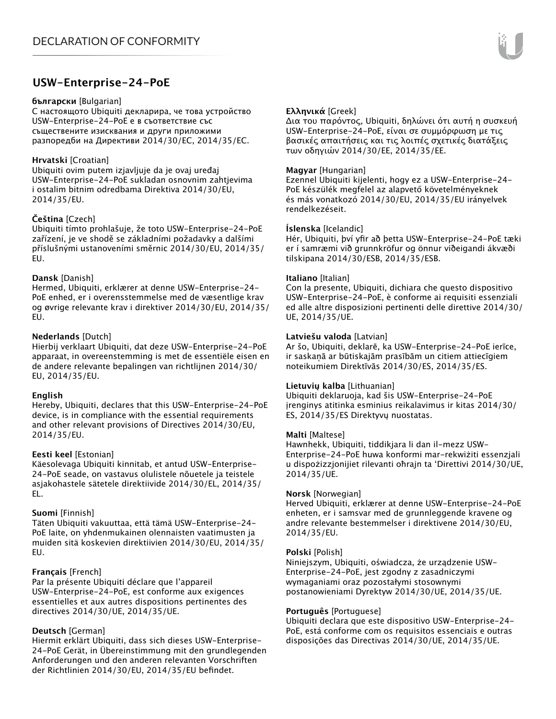## **USW-Enterprise-24-PoE**

#### **български** [Bulgarian]

С настоящото Ubiquiti декларира, че това устройство USW-Enterprise-24-PoE е в съответствие със съществените изисквания и други приложими разпоредби на Директиви 2014/30/ЕС, 2014/35/ЕС.

## **Hrvatski** [Croatian]

Ubiquiti ovim putem izjavljuje da je ovaj uređaj USW-Enterprise-24-PoE sukladan osnovnim zahtjevima i ostalim bitnim odredbama Direktiva 2014/30/EU, 2014/35/EU.

## **Čeština** [Czech]

Ubiquiti tímto prohlašuje, že toto USW-Enterprise-24-PoE zařízení, je ve shodě se základními požadavky a dalšími příslušnými ustanoveními směrnic 2014/30/EU, 2014/35/ EU.

## **Dansk** [Danish]

Hermed, Ubiquiti, erklærer at denne USW-Enterprise-24- PoE enhed, er i overensstemmelse med de væsentlige krav og øvrige relevante krav i direktiver 2014/30/EU, 2014/35/ EU.

## **Nederlands** [Dutch]

Hierbij verklaart Ubiquiti, dat deze USW-Enterprise-24-PoE apparaat, in overeenstemming is met de essentiële eisen en de andere relevante bepalingen van richtlijnen 2014/30/ EU, 2014/35/EU.

## **English**

Hereby, Ubiquiti, declares that this USW-Enterprise-24-PoE device, is in compliance with the essential requirements and other relevant provisions of Directives 2014/30/EU, 2014/35/EU.

## **Eesti keel** [Estonian]

Käesolevaga Ubiquiti kinnitab, et antud USW-Enterprise-24-PoE seade, on vastavus olulistele nõuetele ja teistele asjakohastele sätetele direktiivide 2014/30/EL, 2014/35/ EL.

## **Suomi** [Finnish]

Täten Ubiquiti vakuuttaa, että tämä USW-Enterprise-24- PoE laite, on yhdenmukainen olennaisten vaatimusten ja muiden sitä koskevien direktiivien 2014/30/EU, 2014/35/ EU.

## **Français** [French]

Par la présente Ubiquiti déclare que l'appareil USW-Enterprise-24-PoE, est conforme aux exigences essentielles et aux autres dispositions pertinentes des directives 2014/30/UE, 2014/35/UE.

## **Deutsch** [German]

Hiermit erklärt Ubiquiti, dass sich dieses USW-Enterprise-24-PoE Gerät, in Übereinstimmung mit den grundlegenden Anforderungen und den anderen relevanten Vorschriften der Richtlinien 2014/30/EU, 2014/35/EU befindet.

## **Ελληνικά** [Greek]

Δια του παρόντος, Ubiquiti, δηλώνει ότι αυτή η συσκευή USW-Enterprise-24-PoE, είναι σε συμμόρφωση με τις βασικές απαιτήσεις και τις λοιπές σχετικές διατάξεις των οδηγιών 2014/30/EE, 2014/35/EE.

## **Magyar** [Hungarian]

Ezennel Ubiquiti kijelenti, hogy ez a USW-Enterprise-24- PoE készülék megfelel az alapvető követelményeknek és más vonatkozó 2014/30/EU, 2014/35/EU irányelvek rendelkezéseit.

#### **Íslenska** [Icelandic]

Hér, Ubiquiti, því yfir að þetta USW-Enterprise-24-PoE tæki er í samræmi við grunnkröfur og önnur viðeigandi ákvæði tilskipana 2014/30/ESB, 2014/35/ESB.

#### **Italiano** [Italian]

Con la presente, Ubiquiti, dichiara che questo dispositivo USW-Enterprise-24-PoE, è conforme ai requisiti essenziali ed alle altre disposizioni pertinenti delle direttive 2014/30/ UE, 2014/35/UE.

## **Latviešu valoda** [Latvian]

Ar šo, Ubiquiti, deklarē, ka USW-Enterprise-24-PoE ierīce, ir saskaņā ar būtiskajām prasībām un citiem attiecīgiem noteikumiem Direktīvās 2014/30/ES, 2014/35/ES.

## **Lietuvių kalba** [Lithuanian]

Ubiquiti deklaruoja, kad šis USW-Enterprise-24-PoE įrenginys atitinka esminius reikalavimus ir kitas 2014/30/ ES, 2014/35/ES Direktyvų nuostatas.

## **Malti** [Maltese]

Hawnhekk, Ubiquiti, tiddikjara li dan il-mezz USW-Enterprise-24-PoE huwa konformi mar-rekwiżiti essenzjali u dispożizzjonijiet rilevanti oħrajn ta 'Direttivi 2014/30/UE, 2014/35/UE.

#### **Norsk** [Norwegian]

Herved Ubiquiti, erklærer at denne USW-Enterprise-24-PoE enheten, er i samsvar med de grunnleggende kravene og andre relevante bestemmelser i direktivene 2014/30/EU, 2014/35/EU.

#### **Polski** [Polish]

Niniejszym, Ubiquiti, oświadcza, że urządzenie USW-Enterprise-24-PoE, jest zgodny z zasadniczymi wymaganiami oraz pozostałymi stosownymi postanowieniami Dyrektyw 2014/30/UE, 2014/35/UE.

## **Português** [Portuguese]

Ubiquiti declara que este dispositivo USW-Enterprise-24- PoE, está conforme com os requisitos essenciais e outras disposições das Directivas 2014/30/UE, 2014/35/UE.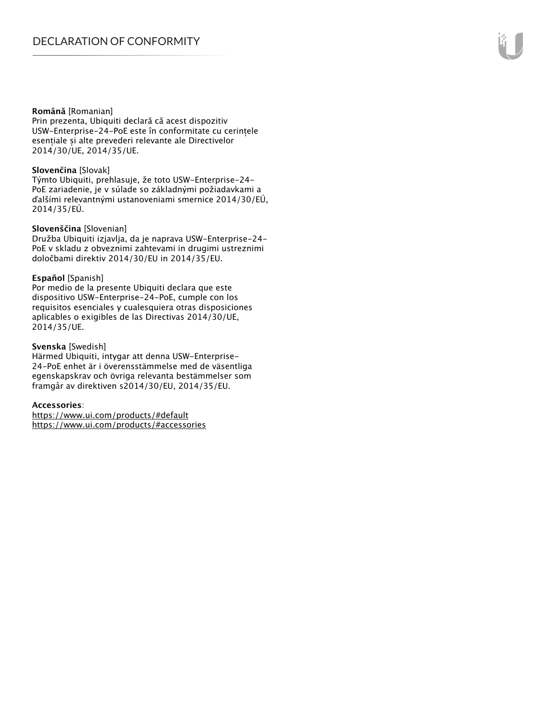#### **Română** [Romanian]

Prin prezenta, Ubiquiti declară că acest dispozitiv USW-Enterprise-24-PoE este în conformitate cu cerințele esențiale și alte prevederi relevante ale Directivelor 2014/30/UE, 2014/35/UE.

## **Slovenčina** [Slovak]

Týmto Ubiquiti, prehlasuje, že toto USW-Enterprise-24- PoE zariadenie, je v súlade so základnými požiadavkami a ďalšími relevantnými ustanoveniami smernice 2014/30/EÚ, 2014/35/EÚ.

#### **Slovenščina** [Slovenian]

Družba Ubiquiti izjavlja, da je naprava USW-Enterprise-24- PoE v skladu z obveznimi zahtevami in drugimi ustreznimi določbami direktiv 2014/30/EU in 2014/35/EU.

#### **Español** [Spanish]

Por medio de la presente Ubiquiti declara que este dispositivo USW-Enterprise-24-PoE, cumple con los requisitos esenciales y cualesquiera otras disposiciones aplicables o exigibles de las Directivas 2014/30/UE, 2014/35/UE.

## **Svenska** [Swedish]

Härmed Ubiquiti, intygar att denna USW-Enterprise-24-PoE enhet är i överensstämmelse med de väsentliga egenskapskrav och övriga relevanta bestämmelser som framgår av direktiven s2014/30/EU, 2014/35/EU.

## **Accessories**:

https://www.ui.com/products/#default https://www.ui.com/products/#accessories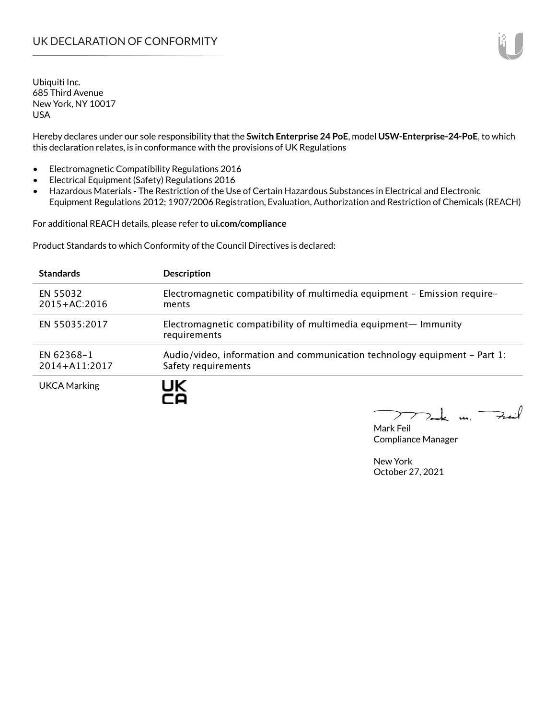Ubiquiti Inc. 685 Third Avenue New York, NY 10017 USA

Hereby declares under our sole responsibility that the **Switch Enterprise 24 PoE**, model **USW-Enterprise-24-PoE**, to which this declaration relates, is in conformance with the provisions of UK Regulations

- Electromagnetic Compatibility Regulations 2016
- Electrical Equipment (Safety) Regulations 2016
- Hazardous Materials The Restriction of the Use of Certain Hazardous Substances in Electrical and Electronic Equipment Regulations 2012; 1907/2006 Registration, Evaluation, Authorization and Restriction of Chemicals (REACH)

For additional REACH details, please refer to **ui.com/compliance**

Product Standards to which Conformity of the Council Directives is declared:

| <b>Standards</b>                | <b>Description</b>                                                                               |
|---------------------------------|--------------------------------------------------------------------------------------------------|
| EN 55032<br>$2015 + AC:2016$    | Electromagnetic compatibility of multimedia equipment - Emission require-<br>ments               |
| EN 55035:2017                   | Electromagnetic compatibility of multimedia equipment— Immunity<br>requirements                  |
| EN 62368-1<br>$2014 + A11:2017$ | Audio/video, information and communication technology equipment – Part 1:<br>Safety requirements |
| <b>UKCA Marking</b>             |                                                                                                  |

Tak un Fail  $\blacktriangleright$ 

Mark Feil Compliance Manager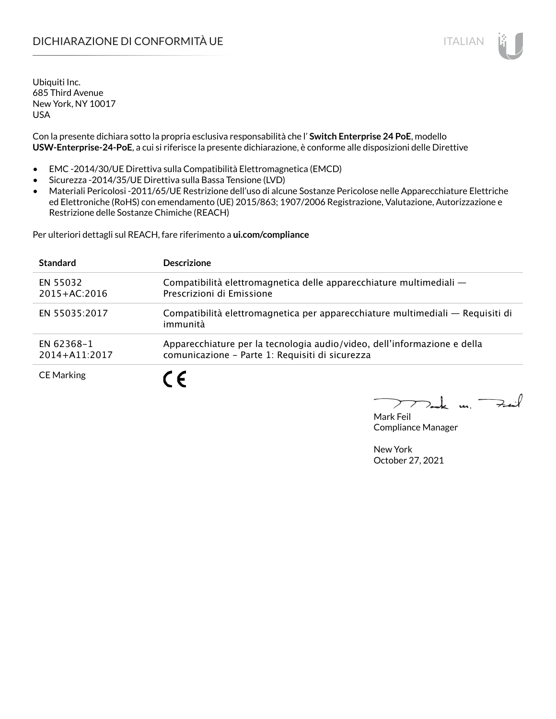## DICHIARAZIONE DI CONFORMITÀ UE ITALIAN IN ESSENTIANO IN ESSENTIA UN ESSENTIA UN ESSENTIA UN ESSENTIA UN ESSENT

Ubiquiti Inc. 685 Third Avenue New York, NY 10017 USA

Con la presente dichiara sotto la propria esclusiva responsabilità che l' **Switch Enterprise 24 PoE**, modello **USW-Enterprise-24-PoE**, a cui si riferisce la presente dichiarazione, è conforme alle disposizioni delle Direttive

- EMC -2014/30/UE Direttiva sulla Compatibilità Elettromagnetica (EMCD)
- Sicurezza -2014/35/UE Direttiva sulla Bassa Tensione (LVD)
- Materiali Pericolosi -2011/65/UE Restrizione dell'uso di alcune Sostanze Pericolose nelle Apparecchiature Elettriche ed Elettroniche (RoHS) con emendamento (UE) 2015/863; 1907/2006 Registrazione, Valutazione, Autorizzazione e Restrizione delle Sostanze Chimiche (REACH)

Per ulteriori dettagli sul REACH, fare riferimento a **ui.com/compliance**

| <b>Standard</b>              | <b>Descrizione</b>                                                                                                          |
|------------------------------|-----------------------------------------------------------------------------------------------------------------------------|
| EN 55032<br>$2015 + AC:2016$ | Compatibilità elettromagnetica delle apparecchiature multimediali -<br>Prescrizioni di Emissione                            |
| EN 55035:2017                | Compatibilità elettromagnetica per apparecchiature multimediali — Requisiti di<br>immunità                                  |
| EN 62368-1<br>2014+A11:2017  | Apparecchiature per la tecnologia audio/video, dell'informazione e della<br>comunicazione - Parte 1: Requisiti di sicurezza |
| <b>CE Marking</b>            |                                                                                                                             |

 $\Rightarrow$ inf  $\overline{u}$ 

Mark Feil Compliance Manager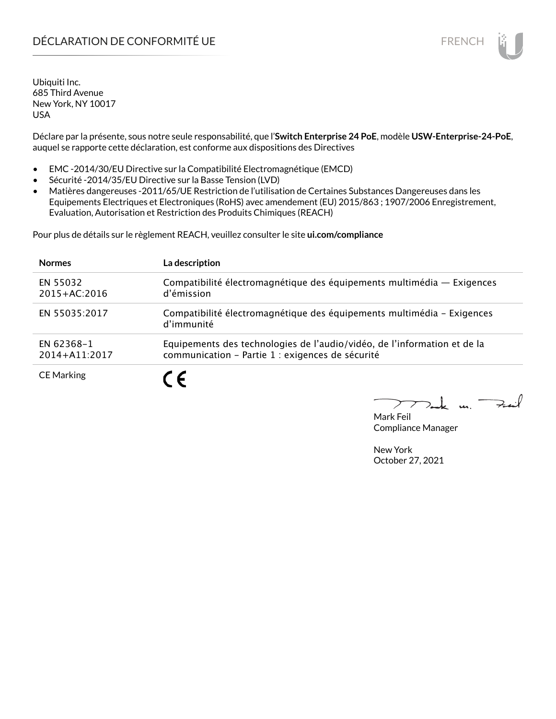## DÉCLARATION DE CONFORMITÉ UE EN ENCHANGEMENT DE CONFORMITÉ UNE ENCHANGEMENT DE CONFORMITÉ UNE ENCHANGEMENT DE

Ubiquiti Inc. 685 Third Avenue New York, NY 10017 USA

Déclare par la présente, sous notre seule responsabilité, que l'**Switch Enterprise 24 PoE**, modèle **USW-Enterprise-24-PoE**, auquel se rapporte cette déclaration, est conforme aux dispositions des Directives

- EMC -2014/30/EU Directive sur la Compatibilité Electromagnétique (EMCD)
- Sécurité -2014/35/EU Directive sur la Basse Tension (LVD)
- Matières dangereuses -2011/65/UE Restriction de l'utilisation de Certaines Substances Dangereuses dans les Equipements Electriques et Electroniques (RoHS) avec amendement (EU) 2015/863 ; 1907/2006 Enregistrement, Evaluation, Autorisation et Restriction des Produits Chimiques (REACH)

Pour plus de détails sur le règlement REACH, veuillez consulter le site **ui.com/compliance**

| <b>Normes</b>                | La description                                                                                                               |
|------------------------------|------------------------------------------------------------------------------------------------------------------------------|
| EN 55032<br>$2015 + AC:2016$ | Compatibilité électromagnétique des équipements multimédia - Exigences<br>d'émission                                         |
| EN 55035:2017                | Compatibilité électromagnétique des équipements multimédia - Exigences<br>d'immunité                                         |
| EN 62368-1<br>2014+A11:2017  | Equipements des technologies de l'audio/vidéo, de l'information et de la<br>communication - Partie 1 : exigences de sécurité |
| <b>CE Marking</b>            | 7 C                                                                                                                          |

لأبدحة  $\mathbf{u}$ 

Mark Feil Compliance Manager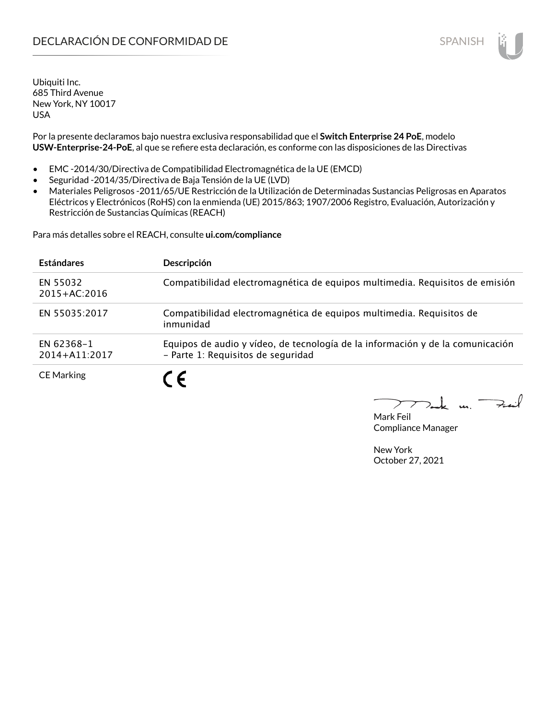## **DECLARACIÓN DE CONFORMIDAD DE SPANISH EN EL SERVIS EN EL SERVISH**

Ubiquiti Inc. 685 Third Avenue New York, NY 10017 USA

Por la presente declaramos bajo nuestra exclusiva responsabilidad que el **Switch Enterprise 24 PoE**, modelo **USW-Enterprise-24-PoE**, al que se refiere esta declaración, es conforme con las disposiciones de las Directivas

- EMC -2014/30/Directiva de Compatibilidad Electromagnética de la UE (EMCD)
- Seguridad -2014/35/Directiva de Baja Tensión de la UE (LVD)
- Materiales Peligrosos -2011/65/UE Restricción de la Utilización de Determinadas Sustancias Peligrosas en Aparatos Eléctricos y Electrónicos (RoHS) con la enmienda (UE) 2015/863; 1907/2006 Registro, Evaluación, Autorización y Restricción de Sustancias Químicas (REACH)

Para más detalles sobre el REACH, consulte **ui.com/compliance**

| <b>Estándares</b>            | Descripción                                                                                                          |
|------------------------------|----------------------------------------------------------------------------------------------------------------------|
| EN 55032<br>$2015 + AC:2016$ | Compatibilidad electromagnética de equipos multimedia. Requisitos de emisión                                         |
| EN 55035:2017                | Compatibilidad electromagnética de equipos multimedia. Requisitos de<br>inmunidad                                    |
| EN 62368-1<br>2014+A11:2017  | Equipos de audio y vídeo, de tecnología de la información y de la comunicación<br>- Parte 1: Requisitos de seguridad |
| <b>CE Marking</b>            |                                                                                                                      |

Mark Feil Compliance Manager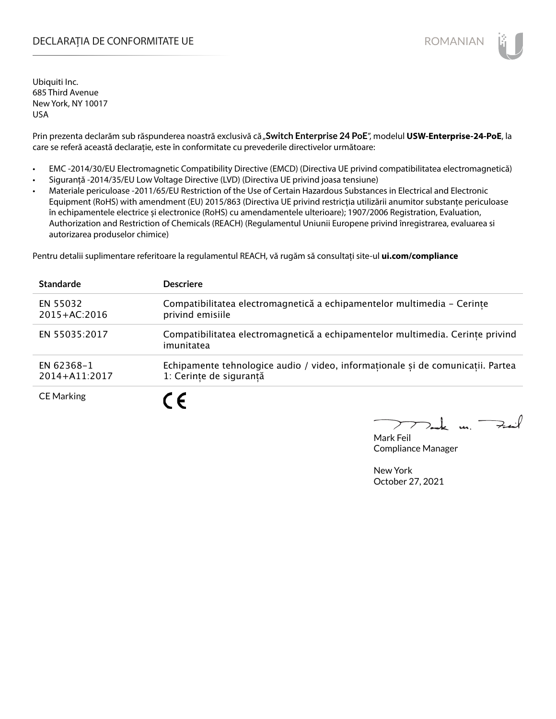## DECLARAȚIA DE CONFORMITATE UE EXTERNATION ANNO 1999 EN ANNO 1999 ROMANIAN

Ubiquiti Inc. 685 Third Avenue New York, NY 10017 USA

Prin prezenta declarăm sub răspunderea noastră exclusivă că "Switch Enterprise 24 PoE", modelul USW-Enterprise-24-PoE, la care se referă această declarație, este în conformitate cu prevederile directivelor următoare:

- EMC -2014/30/EU Electromagnetic Compatibility Directive (EMCD) (Directiva UE privind compatibilitatea electromagnetică)
- Siguranță -2014/35/EU Low Voltage Directive (LVD) (Directiva UE privind joasa tensiune)
- Materiale periculoase -2011/65/EU Restriction of the Use of Certain Hazardous Substances in Electrical and Electronic Equipment (RoHS) with amendment (EU) 2015/863 (Directiva UE privind restricția utilizării anumitor substanțe periculoase în echipamentele electrice și electronice (RoHS) cu amendamentele ulterioare); 1907/2006 Registration, Evaluation, Authorization and Restriction of Chemicals (REACH) (Regulamentul Uniunii Europene privind înregistrarea, evaluarea si autorizarea produselor chimice)

Pentru detalii suplimentare referitoare la regulamentul REACH, vă rugăm să consultați site-ul **ui.com/compliance**

| <b>Standarde</b>             | <b>Descriere</b>                                                                                           |
|------------------------------|------------------------------------------------------------------------------------------------------------|
| EN 55032<br>$2015 + AC:2016$ | Compatibilitatea electromagnetică a echipamentelor multimedia - Cerințe<br>privind emisiile                |
| EN 55035:2017                | Compatibilitatea electromagnetică a echipamentelor multimedia. Cerințe privind<br>imunitatea               |
| EN 62368-1<br>2014+A11:2017  | Echipamente tehnologice audio / video, informaționale și de comunicații. Partea<br>1: Cerinte de sigurantă |
| <b>CE Marking</b>            | C E                                                                                                        |

 $m.$  Fail

Mark Feil Compliance Manager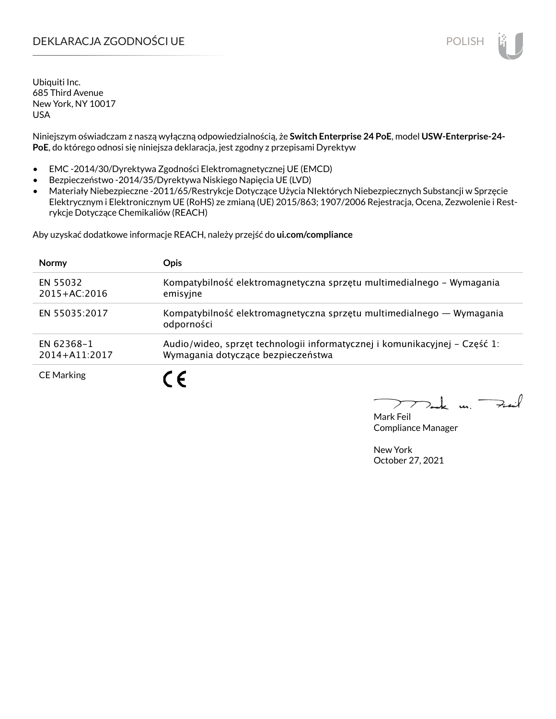## DEKLARACJA ZGODNOŚCI UE POLISH

Ubiquiti Inc. 685 Third Avenue New York, NY 10017 USA

Niniejszym oświadczam z naszą wyłączną odpowiedzialnością, że **Switch Enterprise 24 PoE**, model **USW-Enterprise-24- PoE**, do którego odnosi się niniejsza deklaracja, jest zgodny z przepisami Dyrektyw

- EMC -2014/30/Dyrektywa Zgodności Elektromagnetycznej UE (EMCD)
- Bezpieczeństwo -2014/35/Dyrektywa Niskiego Napięcia UE (LVD)
- Materiały Niebezpieczne -2011/65/Restrykcje Dotyczące Użycia NIektórych Niebezpiecznych Substancji w Sprzęcie Elektrycznym i Elektronicznym UE (RoHS) ze zmianą (UE) 2015/863; 1907/2006 Rejestracja, Ocena, Zezwolenie i Restrykcje Dotyczące Chemikaliów (REACH)

Aby uzyskać dodatkowe informacje REACH, należy przejść do **ui.com/compliance**

| <b>Normy</b>                 | <b>Opis</b>                                                                                                      |
|------------------------------|------------------------------------------------------------------------------------------------------------------|
| EN 55032<br>$2015 + AC:2016$ | Kompatybilność elektromagnetyczna sprzętu multimedialnego – Wymagania<br>emisyjne                                |
| EN 55035:2017                | Kompatybilność elektromagnetyczna sprzętu multimedialnego — Wymagania<br>odporności                              |
| EN 62368-1<br>2014+A11:2017  | Audio/wideo, sprzęt technologii informatycznej i komunikacyjnej – Część 1:<br>Wymagania dotyczące bezpieczeństwa |
| <b>CE Marking</b>            | $\epsilon$                                                                                                       |

لأمدحة  $\mathbf{u}$ 

Mark Feil Compliance Manager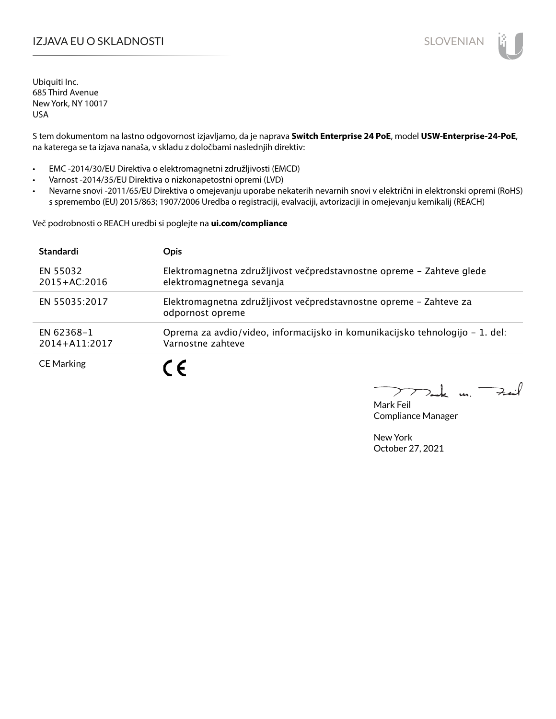## I**ZJAVA EU O SKLADNOSTI** SLOVENIAN

Ubiquiti Inc. 685 Third Avenue New York, NY 10017 USA

S tem dokumentom na lastno odgovornost izjavljamo, da je naprava **Switch Enterprise 24 PoE**, model **USW-Enterprise-24-PoE**, na katerega se ta izjava nanaša, v skladu z določbami naslednjih direktiv:

- EMC -2014/30/EU Direktiva o elektromagnetni združljivosti (EMCD)
- Varnost -2014/35/EU Direktiva o nizkonapetostni opremi (LVD)
- Nevarne snovi -2011/65/EU Direktiva o omejevanju uporabe nekaterih nevarnih snovi v električni in elektronski opremi (RoHS) s spremembo (EU) 2015/863; 1907/2006 Uredba o registraciji, evalvaciji, avtorizaciji in omejevanju kemikalij (REACH)

Več podrobnosti o REACH uredbi si poglejte na **ui.com/compliance**

| <b>Standardi</b>             | <b>Opis</b>                                                                                        |
|------------------------------|----------------------------------------------------------------------------------------------------|
| EN 55032<br>$2015 + AC:2016$ | Elektromagnetna združljivost večpredstavnostne opreme - Zahteve glede<br>elektromagnetnega sevanja |
| EN 55035:2017                | Elektromagnetna združljivost večpredstavnostne opreme - Zahteve za<br>odpornost opreme             |
| EN 62368-1<br>2014+A11:2017  | Oprema za avdio/video, informacijsko in komunikacijsko tehnologijo – 1. del:<br>Varnostne zahteve  |
| <b>CE Marking</b>            | C E                                                                                                |

 $k$  un  $\rightarrow$ 

Mark Feil Compliance Manager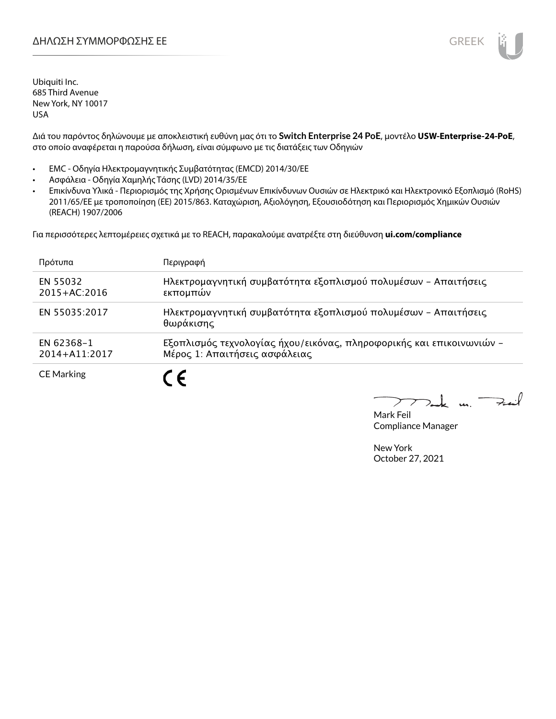

Ubiquiti Inc. 685 Third Avenue New York, NY 10017 USA

Διά του παρόντος δηλώνουμε με αποκλειστική ευθύνη μας ότι το **Switch Enterprise 24 PoE**, μοντέλο **USW-Enterprise-24-PoE**, στο οποίο αναφέρεται η παρούσα δήλωση, είναι σύμφωνο με τις διατάξεις των Οδηγιών

- EMC Οδηγία Ηλεκτρομαγνητικής Συμβατότητας (EMCD) 2014/30/ΕΕ
- Ασφάλεια Οδηγία Χαμηλής Τάσης (LVD) 2014/35/ΕΕ
- Επικίνδυνα Υλικά Περιορισμός της Χρήσης Ορισμένων Επικίνδυνων Ουσιών σε Ηλεκτρικό και Ηλεκτρονικό Εξοπλισμό (RoHS) 2011/65/ΕΕ με τροποποίηση (ΕΕ) 2015/863. Καταχώριση, Αξιολόγηση, Εξουσιοδότηση και Περιορισμός Χημικών Ουσιών (REACH) 1907/2006

Για περισσότερες λεπτομέρειες σχετικά με το REACH, παρακαλούμε ανατρέξτε στη διεύθυνση **ui.com/compliance**

| Πρότυπα                      | Περιγραφή                                                                                             |
|------------------------------|-------------------------------------------------------------------------------------------------------|
| EN 55032<br>$2015 + AC:2016$ | Ηλεκτρομαγνητική συμβατότητα εξοπλισμού πολυμέσων - Απαιτήσεις<br>εκπομπών                            |
| EN 55035:2017                | Ηλεκτρομαγνητική συμβατότητα εξοπλισμού πολυμέσων - Απαιτήσεις<br>θωράκισης                           |
| EN 62368-1<br>2014+A11:2017  | Εξοπλισμός τεχνολογίας ήχου/εικόνας, πληροφορικής και επικοινωνιών -<br>Μέρος 1: Απαιτήσεις ασφάλειας |
| <b>CE Marking</b>            |                                                                                                       |

 $\overrightarrow{=}$ t u ↗

Mark Feil Compliance Manager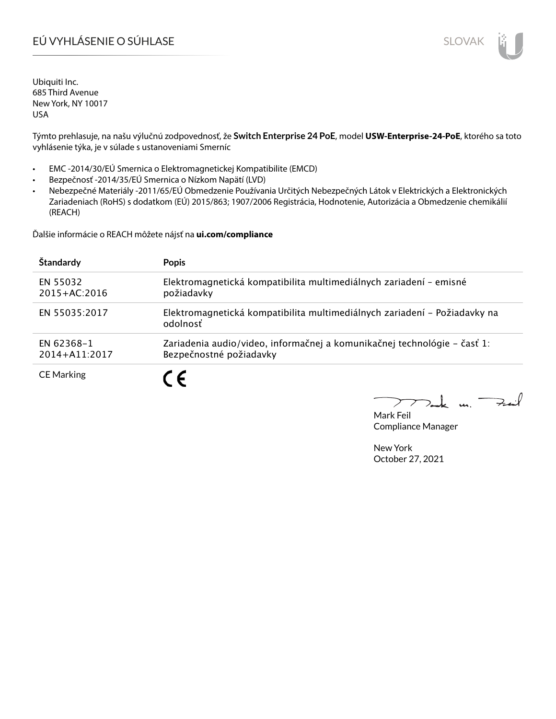# EÚ VYHLÁSENIE O SÚHLASE SLOVAK SLOVAK

Ubiquiti Inc. 685 Third Avenue New York, NY 10017 USA

Týmto prehlasuje, na našu výlučnú zodpovednosť, že **Switch Enterprise 24 PoE**, model **USW-Enterprise-24-PoE**, ktorého sa toto vyhlásenie týka, je v súlade s ustanoveniami Smerníc

- EMC -2014/30/EÚ Smernica o Elektromagnetickej Kompatibilite (EMCD)
- Bezpečnosť -2014/35/EÚ Smernica o Nízkom Napätí (LVD)
- Nebezpečné Materiály -2011/65/EÚ Obmedzenie Používania Určitých Nebezpečných Látok v Elektrických a Elektronických Zariadeniach (RoHS) s dodatkom (EÚ) 2015/863; 1907/2006 Registrácia, Hodnotenie, Autorizácia a Obmedzenie chemikálií (REACH)

Ďalšie informácie o REACH môžete nájsť na **ui.com/compliance**

| Štandardy                    | <b>Popis</b>                                                                                        |
|------------------------------|-----------------------------------------------------------------------------------------------------|
| EN 55032<br>$2015 + AC:2016$ | Elektromagnetická kompatibilita multimediálnych zariadení - emisné<br>požiadavky                    |
| EN 55035:2017                | Elektromagnetická kompatibilita multimediálnych zariadení – Požiadavky na<br>odolnosť               |
| EN 62368-1<br>2014+A11:2017  | Zariadenia audio/video, informačnej a komunikačnej technológie – časť 1:<br>Bezpečnostné požiadavky |
| <b>CE Marking</b>            |                                                                                                     |

 $k$  un  $\rightarrow$ 

Mark Feil Compliance Manager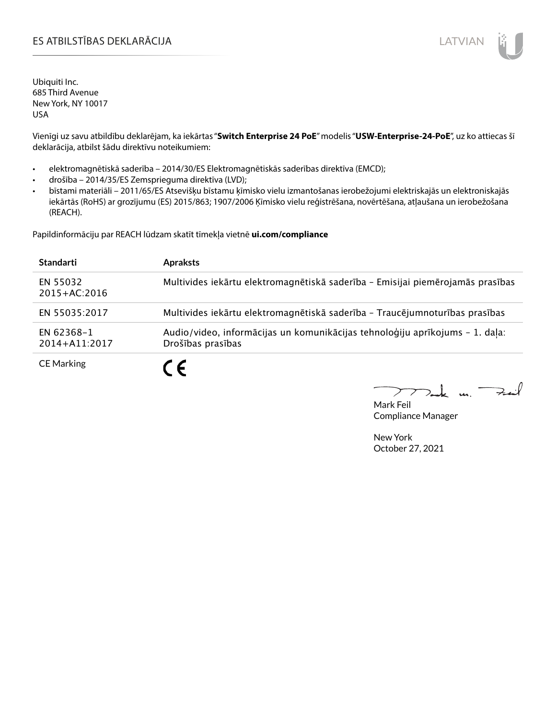## ES ATBILSTĪBAS DEKLARĀCIJA LATVIAN

Ubiquiti Inc. 685 Third Avenue New York, NY 10017 USA

Vienīgi uz savu atbildību deklarējam, ka iekārtas "**Switch Enterprise 24 PoE**" modelis "**USW-Enterprise-24-PoE**", uz ko attiecas šī deklarācija, atbilst šādu direktīvu noteikumiem:

- elektromagnētiskā saderība 2014/30/ES Elektromagnētiskās saderības direktīva (EMCD);
- drošība 2014/35/ES Zemsprieguma direktīva (LVD);
- bīstami materiāli 2011/65/ES Atsevišķu bīstamu ķīmisko vielu izmantošanas ierobežojumi elektriskajās un elektroniskajās iekārtās (RoHS) ar grozījumu (ES) 2015/863; 1907/2006 Ķīmisko vielu reģistrēšana, novērtēšana, atļaušana un ierobežošana (REACH).

Papildinformāciju par REACH lūdzam skatīt tīmekļa vietnē **ui.com/compliance**

| <b>Standarti</b>             | <b>Apraksts</b>                                                                                   |
|------------------------------|---------------------------------------------------------------------------------------------------|
| EN 55032<br>$2015 + AC:2016$ | Multivides iekārtu elektromagnētiskā saderība - Emisijai piemērojamās prasības                    |
| EN 55035:2017                | Multivides iekārtu elektromagnētiskā saderība - Traucējumnoturības prasības                       |
| EN 62368-1<br>2014+A11:2017  | Audio/video, informācijas un komunikācijas tehnoloģiju aprīkojums - 1. daļa:<br>Drošības prasības |
| <b>CE Marking</b>            | C F                                                                                               |

 $k$  un  $\rightarrow$ 

Mark Feil Compliance Manager